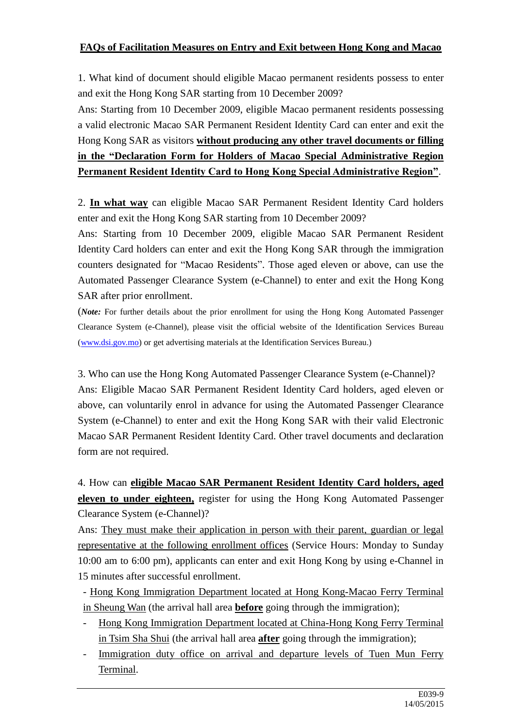## **FAQs of Facilitation Measures on Entry and Exit between Hong Kong and Macao**

1. What kind of document should eligible Macao permanent residents possess to enter and exit the Hong Kong SAR starting from 10 December 2009?

Ans: Starting from 10 December 2009, eligible Macao permanent residents possessing a valid electronic Macao SAR Permanent Resident Identity Card can enter and exit the Hong Kong SAR as visitors **without producing any other travel documents or filling in the "Declaration Form for Holders of Macao Special Administrative Region Permanent Resident Identity Card to Hong Kong Special Administrative Region"**.

2. **In what way** can eligible Macao SAR Permanent Resident Identity Card holders enter and exit the Hong Kong SAR starting from 10 December 2009?

Ans: Starting from 10 December 2009, eligible Macao SAR Permanent Resident Identity Card holders can enter and exit the Hong Kong SAR through the immigration counters designated for "Macao Residents". Those aged eleven or above, can use the Automated Passenger Clearance System (e-Channel) to enter and exit the Hong Kong SAR after prior enrollment.

(*Note:* For further details about the prior enrollment for using the Hong Kong Automated Passenger Clearance System (e-Channel), please visit the official website of the Identification Services Bureau [\(www.dsi.gov.mo\)](http://www.dsi.gov.mo/) or get advertising materials at the Identification Services Bureau.)

3. Who can use the Hong Kong Automated Passenger Clearance System (e-Channel)? Ans: Eligible Macao SAR Permanent Resident Identity Card holders, aged eleven or above, can voluntarily enrol in advance for using the Automated Passenger Clearance System (e-Channel) to enter and exit the Hong Kong SAR with their valid Electronic Macao SAR Permanent Resident Identity Card. Other travel documents and declaration form are not required.

4. How can **eligible Macao SAR Permanent Resident Identity Card holders, aged eleven to under eighteen,** register for using the Hong Kong Automated Passenger Clearance System (e-Channel)?

Ans: They must make their application in person with their parent, guardian or legal representative at the following enrollment offices (Service Hours: Monday to Sunday 10:00 am to 6:00 pm), applicants can enter and exit Hong Kong by using e-Channel in 15 minutes after successful enrollment.

- Hong Kong Immigration Department located at Hong Kong-Macao Ferry Terminal in Sheung Wan (the arrival hall area **before** going through the immigration);

- Hong Kong Immigration Department located at China-Hong Kong Ferry Terminal in Tsim Sha Shui (the arrival hall area **after** going through the immigration);
- Immigration duty office on arrival and departure levels of Tuen Mun Ferry Terminal.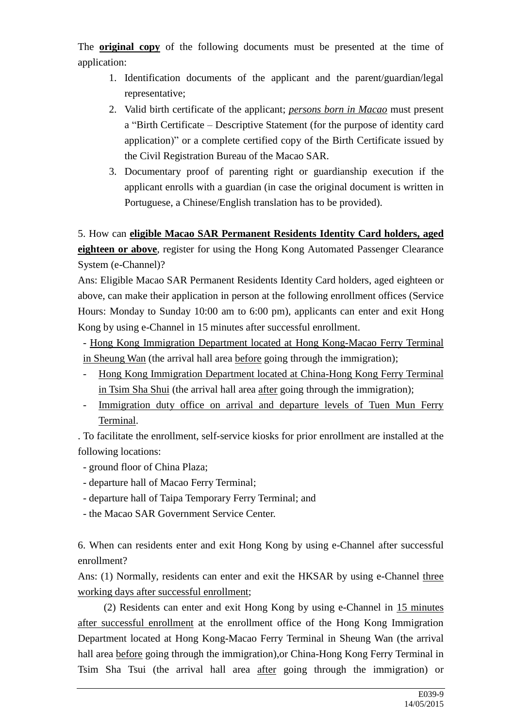The **original copy** of the following documents must be presented at the time of application:

- 1. Identification documents of the applicant and the parent/guardian/legal representative;
- 2. Valid birth certificate of the applicant; *persons born in Macao* must present a "Birth Certificate – Descriptive Statement (for the purpose of identity card application)" or a complete certified copy of the Birth Certificate issued by the Civil Registration Bureau of the Macao SAR.
- 3. Documentary proof of parenting right or guardianship execution if the applicant enrolls with a guardian (in case the original document is written in Portuguese, a Chinese/English translation has to be provided).

5. How can **eligible Macao SAR Permanent Residents Identity Card holders, aged eighteen or above**, register for using the Hong Kong Automated Passenger Clearance System (e-Channel)?

Ans: Eligible Macao SAR Permanent Residents Identity Card holders, aged eighteen or above, can make their application in person at the following enrollment offices (Service Hours: Monday to Sunday 10:00 am to 6:00 pm), applicants can enter and exit Hong Kong by using e-Channel in 15 minutes after successful enrollment.

- Hong Kong Immigration Department located at Hong Kong-Macao Ferry Terminal in Sheung Wan (the arrival hall area before going through the immigration);

- Hong Kong Immigration Department located at China-Hong Kong Ferry Terminal in Tsim Sha Shui (the arrival hall area after going through the immigration);
- Immigration duty office on arrival and departure levels of Tuen Mun Ferry Terminal.

. To facilitate the enrollment, self-service kiosks for prior enrollment are installed at the following locations:

- ground floor of China Plaza;
- departure hall of Macao Ferry Terminal;
- departure hall of Taipa Temporary Ferry Terminal; and
- the Macao SAR Government Service Center.

6. When can residents enter and exit Hong Kong by using e-Channel after successful enrollment?

Ans: (1) Normally, residents can enter and exit the HKSAR by using e-Channel three working days after successful enrollment;

 (2) Residents can enter and exit Hong Kong by using e-Channel in 15 minutes after successful enrollment at the enrollment office of the Hong Kong Immigration Department located at Hong Kong-Macao Ferry Terminal in Sheung Wan (the arrival hall area before going through the immigration),or China-Hong Kong Ferry Terminal in Tsim Sha Tsui (the arrival hall area after going through the immigration) or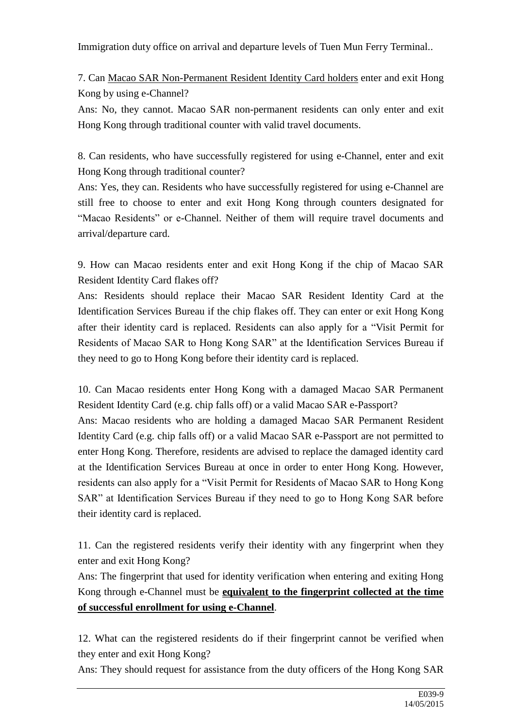Immigration duty office on arrival and departure levels of Tuen Mun Ferry Terminal..

7. Can Macao SAR Non-Permanent Resident Identity Card holders enter and exit Hong Kong by using e-Channel?

Ans: No, they cannot. Macao SAR non-permanent residents can only enter and exit Hong Kong through traditional counter with valid travel documents.

8. Can residents, who have successfully registered for using e-Channel, enter and exit Hong Kong through traditional counter?

Ans: Yes, they can. Residents who have successfully registered for using e-Channel are still free to choose to enter and exit Hong Kong through counters designated for "Macao Residents" or e-Channel. Neither of them will require travel documents and arrival/departure card.

9. How can Macao residents enter and exit Hong Kong if the chip of Macao SAR Resident Identity Card flakes off?

Ans: Residents should replace their Macao SAR Resident Identity Card at the Identification Services Bureau if the chip flakes off. They can enter or exit Hong Kong after their identity card is replaced. Residents can also apply for a "Visit Permit for Residents of Macao SAR to Hong Kong SAR" at the Identification Services Bureau if they need to go to Hong Kong before their identity card is replaced.

10. Can Macao residents enter Hong Kong with a damaged Macao SAR Permanent Resident Identity Card (e.g. chip falls off) or a valid Macao SAR e-Passport?

Ans: Macao residents who are holding a damaged Macao SAR Permanent Resident Identity Card (e.g. chip falls off) or a valid Macao SAR e-Passport are not permitted to enter Hong Kong. Therefore, residents are advised to replace the damaged identity card at the Identification Services Bureau at once in order to enter Hong Kong. However, residents can also apply for a "Visit Permit for Residents of Macao SAR to Hong Kong SAR" at Identification Services Bureau if they need to go to Hong Kong SAR before their identity card is replaced.

11. Can the registered residents verify their identity with any fingerprint when they enter and exit Hong Kong?

Ans: The fingerprint that used for identity verification when entering and exiting Hong Kong through e-Channel must be **equivalent to the fingerprint collected at the time of successful enrollment for using e-Channel**.

12. What can the registered residents do if their fingerprint cannot be verified when they enter and exit Hong Kong?

Ans: They should request for assistance from the duty officers of the Hong Kong SAR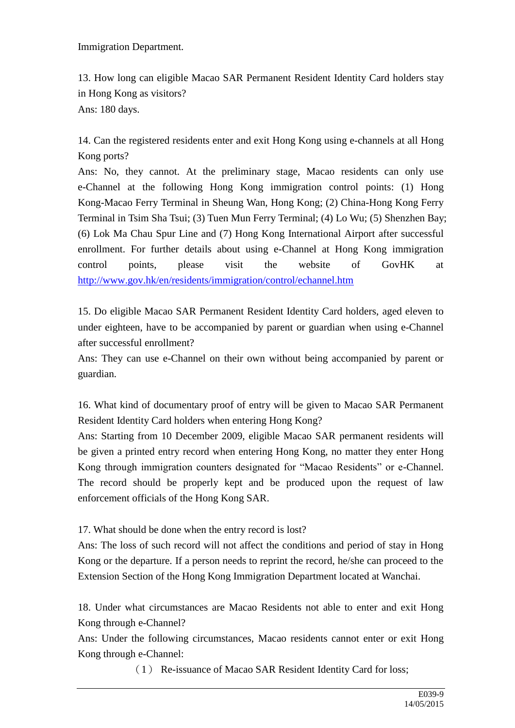Immigration Department.

13. How long can eligible Macao SAR Permanent Resident Identity Card holders stay in Hong Kong as visitors? Ans: 180 days.

14. Can the registered residents enter and exit Hong Kong using e-channels at all Hong Kong ports?

Ans: No, they cannot. At the preliminary stage, Macao residents can only use e-Channel at the following Hong Kong immigration control points: (1) Hong Kong-Macao Ferry Terminal in Sheung Wan, Hong Kong; (2) China-Hong Kong Ferry Terminal in Tsim Sha Tsui; (3) Tuen Mun Ferry Terminal; (4) Lo Wu; (5) Shenzhen Bay; (6) Lok Ma Chau Spur Line and (7) Hong Kong International Airport after successful enrollment. For further details about using e-Channel at Hong Kong immigration control points, please visit the website of GovHK at <http://www.gov.hk/en/residents/immigration/control/echannel.htm>

15. Do eligible Macao SAR Permanent Resident Identity Card holders, aged eleven to under eighteen, have to be accompanied by parent or guardian when using e-Channel after successful enrollment?

Ans: They can use e-Channel on their own without being accompanied by parent or guardian.

16. What kind of documentary proof of entry will be given to Macao SAR Permanent Resident Identity Card holders when entering Hong Kong?

Ans: Starting from 10 December 2009, eligible Macao SAR permanent residents will be given a printed entry record when entering Hong Kong, no matter they enter Hong Kong through immigration counters designated for "Macao Residents" or e-Channel. The record should be properly kept and be produced upon the request of law enforcement officials of the Hong Kong SAR.

17. What should be done when the entry record is lost?

Ans: The loss of such record will not affect the conditions and period of stay in Hong Kong or the departure. If a person needs to reprint the record, he/she can proceed to the Extension Section of the Hong Kong Immigration Department located at Wanchai.

18. Under what circumstances are Macao Residents not able to enter and exit Hong Kong through e-Channel?

Ans: Under the following circumstances, Macao residents cannot enter or exit Hong Kong through e-Channel:

(1) Re-issuance of Macao SAR Resident Identity Card for loss;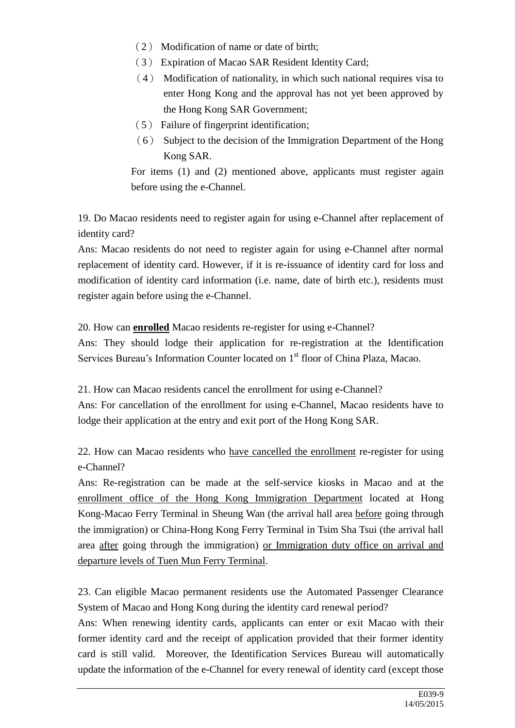- (2) Modification of name or date of birth;
- (3) Expiration of Macao SAR Resident Identity Card;
- (4) Modification of nationality, in which such national requires visa to enter Hong Kong and the approval has not yet been approved by the Hong Kong SAR Government;
- (5) Failure of fingerprint identification;
- (6) Subject to the decision of the Immigration Department of the Hong Kong SAR.

For items (1) and (2) mentioned above, applicants must register again before using the e-Channel.

19. Do Macao residents need to register again for using e-Channel after replacement of identity card?

Ans: Macao residents do not need to register again for using e-Channel after normal replacement of identity card. However, if it is re-issuance of identity card for loss and modification of identity card information (i.e. name, date of birth etc.), residents must register again before using the e-Channel.

20. How can **enrolled** Macao residents re-register for using e-Channel?

Ans: They should lodge their application for re-registration at the Identification Services Bureau's Information Counter located on 1<sup>st</sup> floor of China Plaza, Macao.

21. How can Macao residents cancel the enrollment for using e-Channel? Ans: For cancellation of the enrollment for using e-Channel, Macao residents have to lodge their application at the entry and exit port of the Hong Kong SAR.

22. How can Macao residents who have cancelled the enrollment re-register for using e-Channel?

Ans: Re-registration can be made at the self-service kiosks in Macao and at the enrollment office of the Hong Kong Immigration Department located at Hong Kong-Macao Ferry Terminal in Sheung Wan (the arrival hall area before going through the immigration) or China-Hong Kong Ferry Terminal in Tsim Sha Tsui (the arrival hall area after going through the immigration) or Immigration duty office on arrival and departure levels of Tuen Mun Ferry Terminal.

23. Can eligible Macao permanent residents use the Automated Passenger Clearance System of Macao and Hong Kong during the identity card renewal period?

Ans: When renewing identity cards, applicants can enter or exit Macao with their former identity card and the receipt of application provided that their former identity card is still valid. Moreover, the Identification Services Bureau will automatically update the information of the e-Channel for every renewal of identity card (except those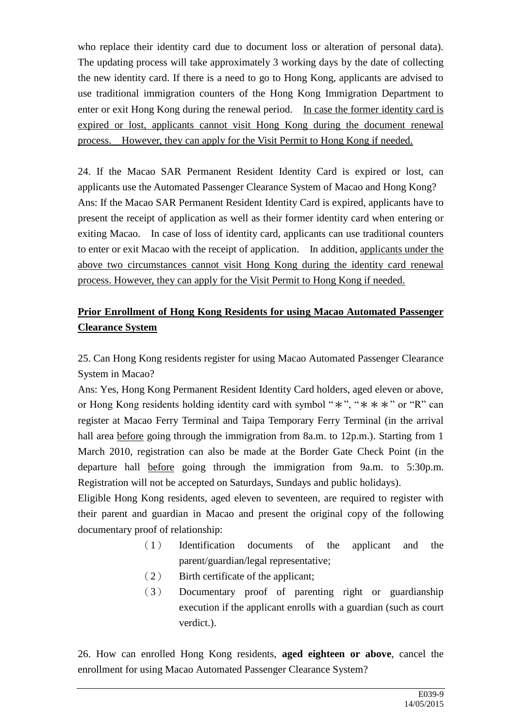who replace their identity card due to document loss or alteration of personal data). The updating process will take approximately 3 working days by the date of collecting the new identity card. If there is a need to go to Hong Kong, applicants are advised to use traditional immigration counters of the Hong Kong Immigration Department to enter or exit Hong Kong during the renewal period. In case the former identity card is expired or lost, applicants cannot visit Hong Kong during the document renewal process. However, they can apply for the Visit Permit to Hong Kong if needed.

24. If the Macao SAR Permanent Resident Identity Card is expired or lost, can applicants use the Automated Passenger Clearance System of Macao and Hong Kong? Ans: If the Macao SAR Permanent Resident Identity Card is expired, applicants have to present the receipt of application as well as their former identity card when entering or exiting Macao. In case of loss of identity card, applicants can use traditional counters to enter or exit Macao with the receipt of application. In addition, applicants under the above two circumstances cannot visit Hong Kong during the identity card renewal process. However, they can apply for the Visit Permit to Hong Kong if needed.

## **Prior Enrollment of Hong Kong Residents for using Macao Automated Passenger Clearance System**

25. Can Hong Kong residents register for using Macao Automated Passenger Clearance System in Macao?

Ans: Yes, Hong Kong Permanent Resident Identity Card holders, aged eleven or above, or Hong Kong residents holding identity card with symbol " $*$ ", " $* * * *$ " or "R" can register at Macao Ferry Terminal and Taipa Temporary Ferry Terminal (in the arrival hall area before going through the immigration from 8a.m. to 12p.m.). Starting from 1 March 2010, registration can also be made at the Border Gate Check Point (in the departure hall before going through the immigration from 9a.m. to 5:30p.m. Registration will not be accepted on Saturdays, Sundays and public holidays).

Eligible Hong Kong residents, aged eleven to seventeen, are required to register with their parent and guardian in Macao and present the original copy of the following documentary proof of relationship:

- (1) Identification documents of the applicant and the parent/guardian/legal representative;
- (2) Birth certificate of the applicant;
- (3) Documentary proof of parenting right or guardianship execution if the applicant enrolls with a guardian (such as court verdict.).

26. How can enrolled Hong Kong residents, **aged eighteen or above**, cancel the enrollment for using Macao Automated Passenger Clearance System?